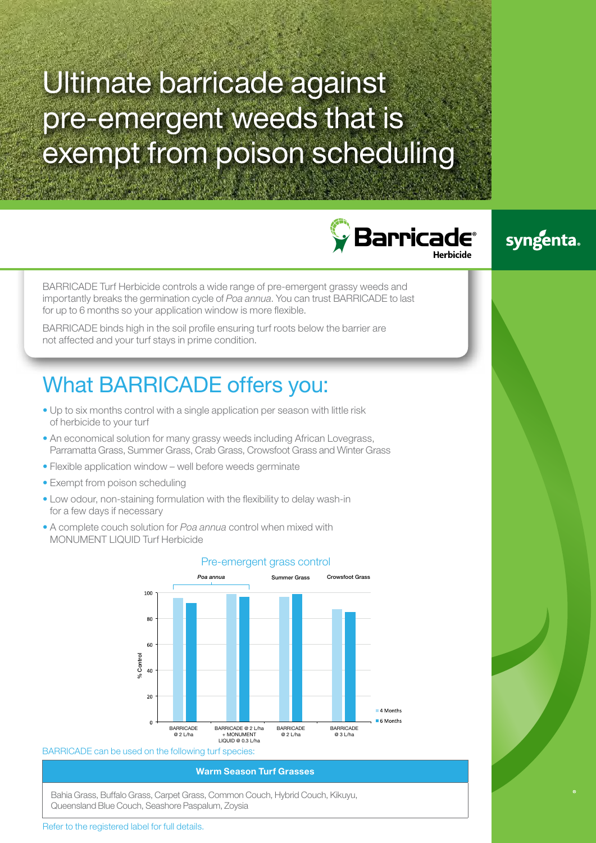# Ultimate barricade against pre-emergent weeds that is exempt from poison scheduling





BARRICADE Turf Herbicide controls a wide range of pre-emergent grassy weeds and importantly breaks the germination cycle of *Poa annua*. You can trust BARRICADE to last for up to 6 months so your application window is more flexible.

BARRICADE binds high in the soil profile ensuring turf roots below the barrier are not affected and your turf stays in prime condition.

## What BARRICADE offers you:

- Up to six months control with a single application per season with little risk of herbicide to your turf
- An economical solution for many grassy weeds including African Lovegrass, Parramatta Grass, Summer Grass, Crab Grass, Crowsfoot Grass and Winter Grass
- Flexible application window well before weeds germinate
- Exempt from poison scheduling
- Low odour, non-staining formulation with the flexibility to delay wash-in for a few days if necessary
- A complete couch solution for *Poa annua* control when mixed with MONUMENT LIQUID Turf Herbicide



### Pre-emergent grass control

### BARRICADE can be used on the following turf species:

### **Warm Season Turf Grasses**

Bahia Grass, Buffalo Grass, Carpet Grass, Common Couch, Hybrid Couch, Kikuyu, Queensland Blue Couch, Seashore Paspalum, Zoysia